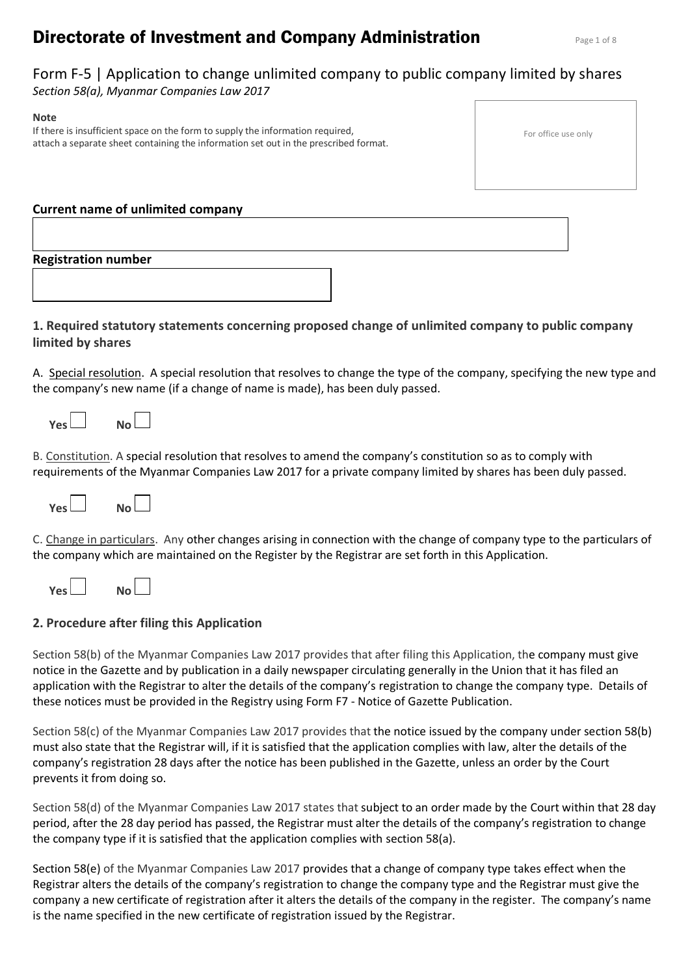# **Directorate of Investment and Company Administration Page 1 of 8**

# Form F-5 | Application to change unlimited company to public company limited by shares *Section 58(a), Myanmar Companies Law 2017*

#### **Note** If there is insufficient space on the form to supply the information required, attach a separate sheet containing the information set out in the prescribed format.

| For office use only |  |
|---------------------|--|
|---------------------|--|

| <b>Current name of unlimited company</b> |  |
|------------------------------------------|--|
|                                          |  |

# **Registration number**

# **1. Required statutory statements concerning proposed change of unlimited company to public company limited by shares**

A. Special resolution. A special resolution that resolves to change the type of the company, specifying the new type and the company's new name (if a change of name is made), has been duly passed.

| Yes. | No L |  |
|------|------|--|
|      |      |  |

B. Constitution. A special resolution that resolves to amend the company's constitution so as to comply with requirements of the Myanmar Companies Law 2017 for a private company limited by shares has been duly passed.



C. Change in particulars. Any other changes arising in connection with the change of company type to the particulars of the company which are maintained on the Register by the Registrar are set forth in this Application.

| Yes l<br>No l |  |  |  |  |  |
|---------------|--|--|--|--|--|
|---------------|--|--|--|--|--|

# **2. Procedure after filing this Application**

Section 58(b) of the Myanmar Companies Law 2017 provides that after filing this Application, the company must give notice in the Gazette and by publication in a daily newspaper circulating generally in the Union that it has filed an application with the Registrar to alter the details of the company's registration to change the company type. Details of these notices must be provided in the Registry using Form F7 - Notice of Gazette Publication.

Section 58(c) of the Myanmar Companies Law 2017 provides that the notice issued by the company under section 58(b) must also state that the Registrar will, if it is satisfied that the application complies with law, alter the details of the company's registration 28 days after the notice has been published in the Gazette, unless an order by the Court prevents it from doing so.

Section 58(d) of the Myanmar Companies Law 2017 states that subject to an order made by the Court within that 28 day period, after the 28 day period has passed, the Registrar must alter the details of the company's registration to change the company type if it is satisfied that the application complies with section 58(a).

Section 58(e) of the Myanmar Companies Law 2017 provides that a change of company type takes effect when the Registrar alters the details of the company's registration to change the company type and the Registrar must give the company a new certificate of registration after it alters the details of the company in the register. The company's name is the name specified in the new certificate of registration issued by the Registrar.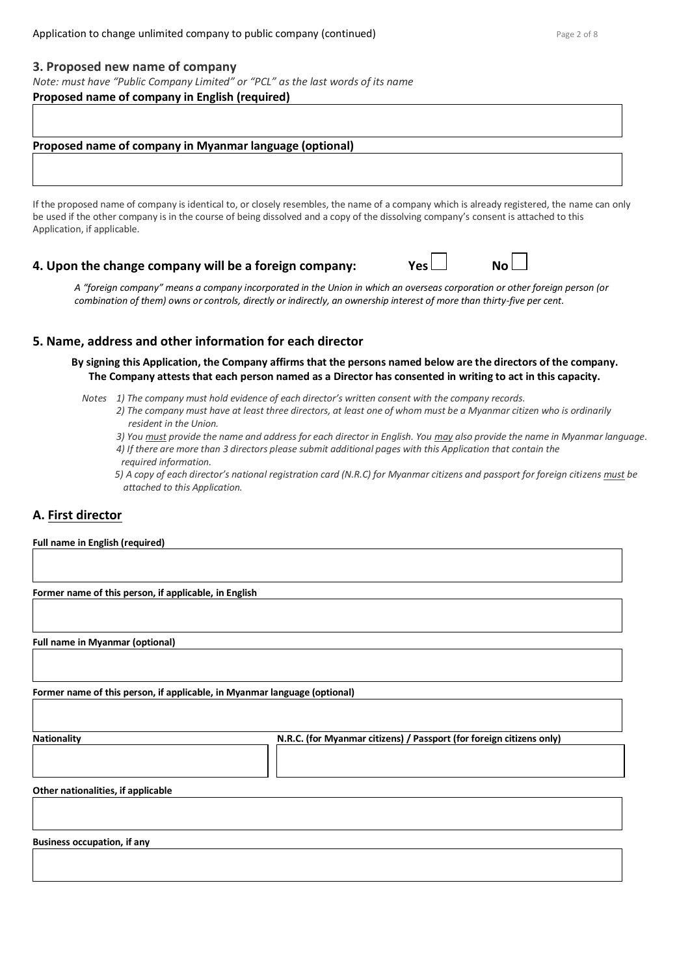#### **3. Proposed new name of company**

*Note: must have "Public Company Limited" or "PCL" as the last words of its name*

## **Proposed name of company in English (required)**

## **Proposed name of company in Myanmar language (optional)**

If the proposed name of company is identical to, or closely resembles, the name of a company which is already registered, the name can only be used if the other company is in the course of being dissolved and a copy of the dissolving company's consent is attached to this Application, if applicable.

# **4. Upon the change company will be a foreign company: Yes**  $\Box$  **No**

*A "foreign company" means a company incorporated in the Union in which an overseas corporation or other foreign person (or combination of them) owns or controls, directly or indirectly, an ownership interest of more than thirty-five per cent.*

## **5. Name, address and other information for each director**

**By signing this Application, the Company affirms that the persons named below are the directors of the company. The Company attests that each person named as a Director has consented in writing to act in this capacity.**

- *Notes 1) The company must hold evidence of each director's written consent with the company records.*
	- *2) The company must have at least three directors, at least one of whom must be a Myanmar citizen who is ordinarily resident in the Union.*
	- *3) You must provide the name and address for each director in English. You may also provide the name in Myanmar language.*
	- *4) If there are more than 3 directors please submit additional pages with this Application that contain the required information.*
	- *5) A copy of each director's national registration card (N.R.C) for Myanmar citizens and passport for foreign citizens must be attached to this Application.*

# **A. First director**

#### **Full name in English (required)**

**Former name of this person, if applicable, in English**

**Full name in Myanmar (optional)**

**Former name of this person, if applicable, in Myanmar language (optional)**

**Nationality N.R.C. (for Myanmar citizens) / Passport (for foreign citizens only)**

**Other nationalities, if applicable**

**Business occupation, if any**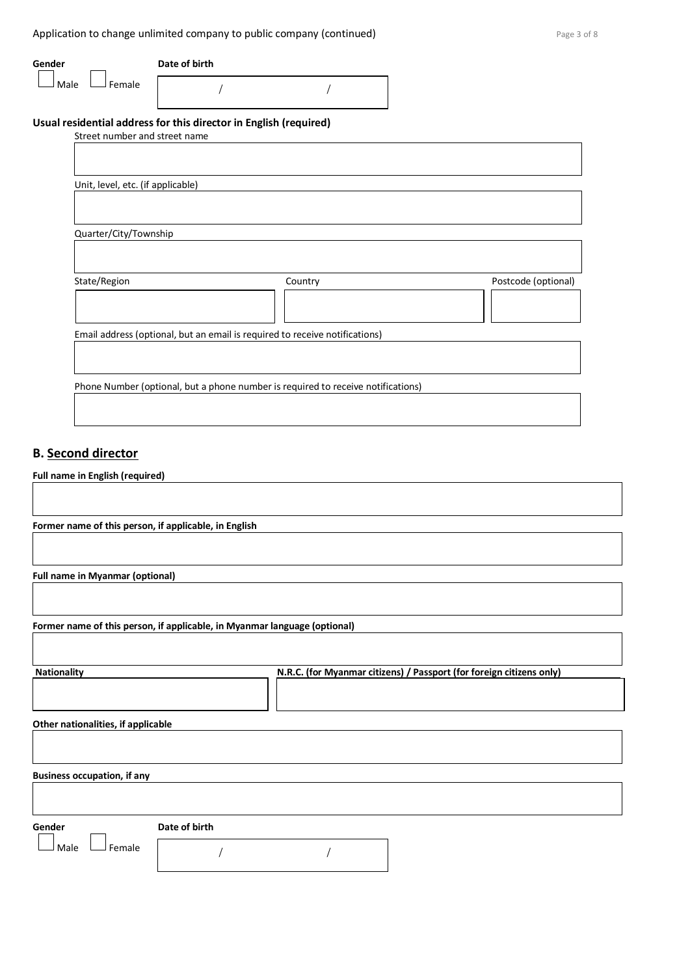Application to change unlimited company to public company (continued) Application to change 3 of 8

| Gender<br>Female<br>Male          | Date of birth                                                                    |         |                     |
|-----------------------------------|----------------------------------------------------------------------------------|---------|---------------------|
|                                   | Usual residential address for this director in English (required)                |         |                     |
| Street number and street name     |                                                                                  |         |                     |
|                                   |                                                                                  |         |                     |
| Unit, level, etc. (if applicable) |                                                                                  |         |                     |
|                                   |                                                                                  |         |                     |
| Quarter/City/Township             |                                                                                  |         |                     |
|                                   |                                                                                  |         |                     |
| State/Region                      |                                                                                  | Country | Postcode (optional) |
|                                   |                                                                                  |         |                     |
|                                   | Email address (optional, but an email is required to receive notifications)      |         |                     |
|                                   |                                                                                  |         |                     |
|                                   | Phone Number (optional, but a phone number is required to receive notifications) |         |                     |

# **B. Second director**

# **Full name in English (required)**

| Former name of this person, if applicable, in English |                                                                           |
|-------------------------------------------------------|---------------------------------------------------------------------------|
|                                                       |                                                                           |
|                                                       |                                                                           |
| <b>Full name in Myanmar (optional)</b>                |                                                                           |
|                                                       |                                                                           |
|                                                       |                                                                           |
|                                                       | Former name of this person, if applicable, in Myanmar language (optional) |
|                                                       |                                                                           |
|                                                       |                                                                           |
| <b>Nationality</b>                                    | N.R.C. (for Myanmar citizens) / Passport (for foreign citizens only)      |
|                                                       |                                                                           |
|                                                       |                                                                           |
| Other nationalities, if applicable                    |                                                                           |
|                                                       |                                                                           |
|                                                       |                                                                           |
| <b>Business occupation, if any</b>                    |                                                                           |
|                                                       |                                                                           |
|                                                       |                                                                           |
|                                                       |                                                                           |
| Gender                                                | Date of birth                                                             |
| Female<br>Male                                        |                                                                           |
|                                                       |                                                                           |
|                                                       |                                                                           |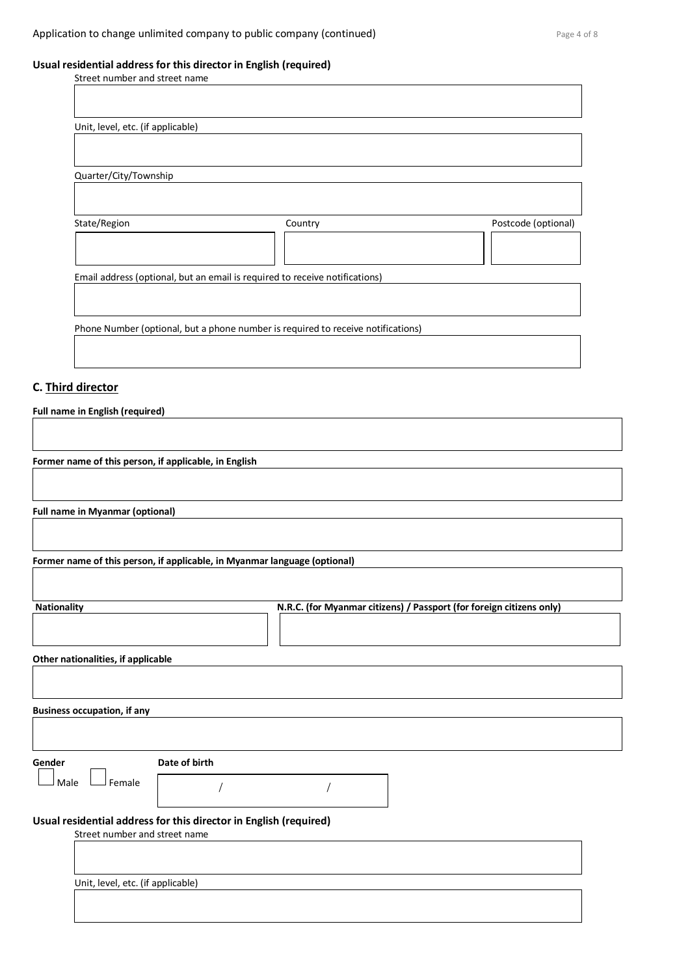## **Usual residential address for this director in English (required)**

| Street number and street name     |                                                                                  |                     |
|-----------------------------------|----------------------------------------------------------------------------------|---------------------|
|                                   |                                                                                  |                     |
|                                   |                                                                                  |                     |
| Unit, level, etc. (if applicable) |                                                                                  |                     |
|                                   |                                                                                  |                     |
|                                   |                                                                                  |                     |
| Quarter/City/Township             |                                                                                  |                     |
|                                   |                                                                                  |                     |
|                                   |                                                                                  |                     |
| State/Region                      | Country                                                                          | Postcode (optional) |
|                                   |                                                                                  |                     |
|                                   |                                                                                  |                     |
|                                   | Email address (optional, but an email is required to receive notifications)      |                     |
|                                   |                                                                                  |                     |
|                                   |                                                                                  |                     |
|                                   | Phone Number (optional, but a phone number is required to receive notifications) |                     |
|                                   |                                                                                  |                     |
|                                   |                                                                                  |                     |
|                                   |                                                                                  |                     |

# **C. Third director**

**Full name in English (required)**

**Former name of this person, if applicable, in English**

**Full name in Myanmar (optional)**

**Former name of this person, if applicable, in Myanmar language (optional)**

| <b>Nationality</b>                                                                                 | N.R.C. (for Myanmar citizens) / Passport (for foreign citizens only) |  |
|----------------------------------------------------------------------------------------------------|----------------------------------------------------------------------|--|
|                                                                                                    |                                                                      |  |
| Other nationalities, if applicable                                                                 |                                                                      |  |
|                                                                                                    |                                                                      |  |
| <b>Business occupation, if any</b>                                                                 |                                                                      |  |
|                                                                                                    |                                                                      |  |
| Date of birth<br>Gender                                                                            |                                                                      |  |
| Female<br>Male                                                                                     |                                                                      |  |
| Usual residential address for this director in English (required)<br>Street number and street name |                                                                      |  |
|                                                                                                    |                                                                      |  |
|                                                                                                    |                                                                      |  |
| Unit, level, etc. (if applicable)                                                                  |                                                                      |  |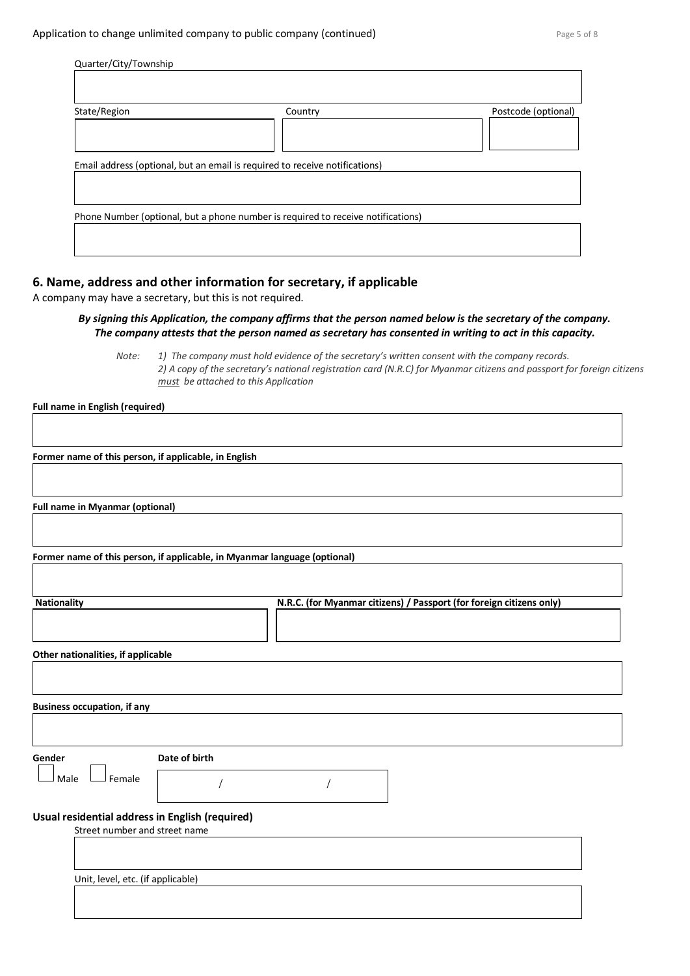| Quarter/City/Township |                                                                                        |                     |
|-----------------------|----------------------------------------------------------------------------------------|---------------------|
| State/Region          | Country<br>Email address (optional, but an email is required to receive notifications) | Postcode (optional) |
|                       |                                                                                        |                     |
|                       | Phone Number (optional, but a phone number is required to receive notifications)       |                     |

# **6. Name, address and other information for secretary, if applicable**

A company may have a secretary, but this is not required.

*By signing this Application, the company affirms that the person named below is the secretary of the company. The company attests that the person named as secretary has consented in writing to act in this capacity.*

*Note: 1) The company must hold evidence of the secretary's written consent with the company records. 2) A copy of the secretary's national registration card (N.R.C) for Myanmar citizens and passport for foreign citizens must be attached to this Application*

**Full name in English (required)**

**Former name of this person, if applicable, in English**

**Full name in Myanmar (optional)**

**Former name of this person, if applicable, in Myanmar language (optional)**

| <b>Nationality</b>                              |               | N.R.C. (for Myanmar citizens) / Passport (for foreign citizens only) |  |  |
|-------------------------------------------------|---------------|----------------------------------------------------------------------|--|--|
|                                                 |               |                                                                      |  |  |
| Other nationalities, if applicable              |               |                                                                      |  |  |
|                                                 |               |                                                                      |  |  |
|                                                 |               |                                                                      |  |  |
| <b>Business occupation, if any</b>              |               |                                                                      |  |  |
|                                                 |               |                                                                      |  |  |
|                                                 |               |                                                                      |  |  |
| Gender                                          | Date of birth |                                                                      |  |  |
| Female<br>Male                                  |               |                                                                      |  |  |
| Usual residential address in English (required) |               |                                                                      |  |  |
| Street number and street name                   |               |                                                                      |  |  |
|                                                 |               |                                                                      |  |  |
|                                                 |               |                                                                      |  |  |
| Unit, level, etc. (if applicable)               |               |                                                                      |  |  |
|                                                 |               |                                                                      |  |  |
|                                                 |               |                                                                      |  |  |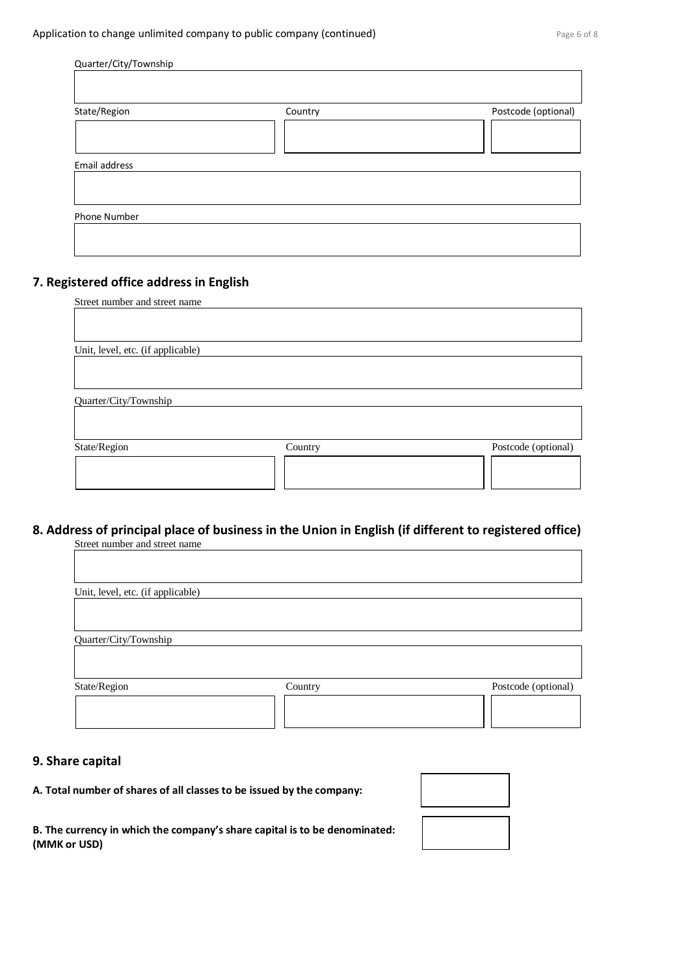| Quarter/City/Township |         |                     |
|-----------------------|---------|---------------------|
|                       |         |                     |
| State/Region          | Country | Postcode (optional) |
|                       |         |                     |
|                       |         |                     |
|                       |         |                     |
| Email address         |         |                     |
|                       |         |                     |
|                       |         |                     |
|                       |         |                     |
| Phone Number          |         |                     |

# **7. Registered office address in English**

| Street number and street name     |         |                     |
|-----------------------------------|---------|---------------------|
|                                   |         |                     |
|                                   |         |                     |
| Unit, level, etc. (if applicable) |         |                     |
|                                   |         |                     |
|                                   |         |                     |
|                                   |         |                     |
| Quarter/City/Township             |         |                     |
|                                   |         |                     |
|                                   |         |                     |
| State/Region                      | Country | Postcode (optional) |
|                                   |         |                     |
|                                   |         |                     |
|                                   |         |                     |
|                                   |         |                     |

# **8. Address of principal place of business in the Union in English (if different to registered office)** Street number and street name

| Postcode (optional) |
|---------------------|
|                     |
| Country             |

## **9. Share capital**

#### **A. Total number of shares of all classes to be issued by the company:**

**B. The currency in which the company's share capital is to be denominated: (MMK or USD)**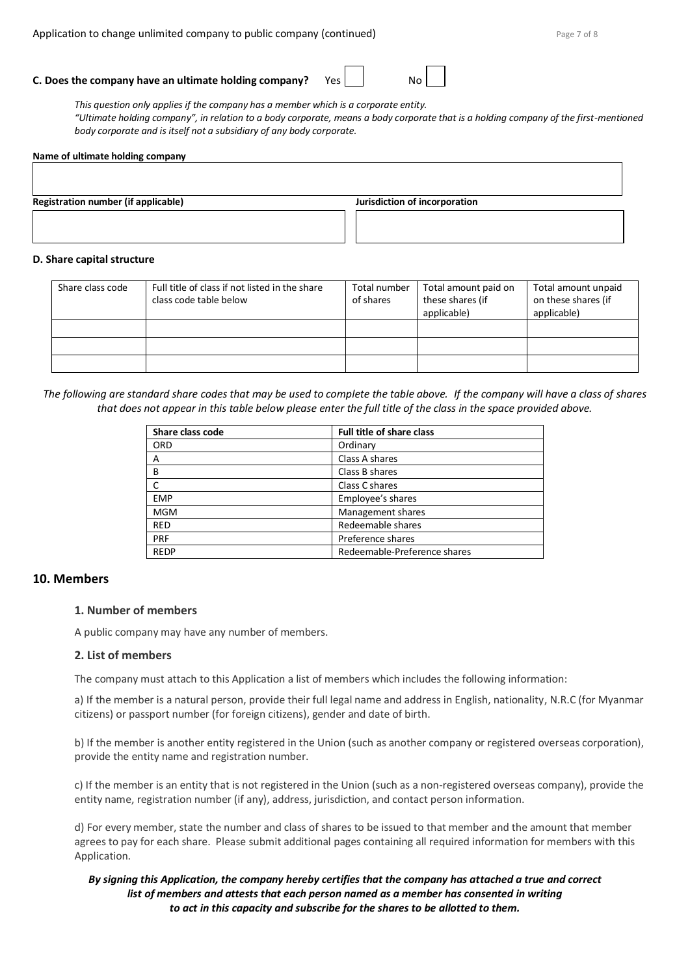| Ν |  |  |  |
|---|--|--|--|
|   |  |  |  |

*This question only applies if the company has a member which is a corporate entity. "Ultimate holding company", in relation to a body corporate, means a body corporate that is a holding company of the first-mentioned body corporate and is itself not a subsidiary of any body corporate.*

# **Name of ultimate holding company Registration number (if applicable) Jurisdiction of incorporation**

#### **D. Share capital structure**

| Share class code | Full title of class if not listed in the share<br>class code table below | Total number<br>of shares | Total amount paid on<br>these shares (if<br>applicable) | Total amount unpaid<br>on these shares (if<br>applicable) |
|------------------|--------------------------------------------------------------------------|---------------------------|---------------------------------------------------------|-----------------------------------------------------------|
|                  |                                                                          |                           |                                                         |                                                           |
|                  |                                                                          |                           |                                                         |                                                           |
|                  |                                                                          |                           |                                                         |                                                           |

*The following are standard share codes that may be used to complete the table above. If the company will have a class of shares that does not appear in this table below please enter the full title of the class in the space provided above.*

| Share class code | <b>Full title of share class</b> |
|------------------|----------------------------------|
| <b>ORD</b>       | Ordinary                         |
| A                | Class A shares                   |
| B                | Class B shares                   |
|                  | Class C shares                   |
| <b>EMP</b>       | Employee's shares                |
| <b>MGM</b>       | Management shares                |
| <b>RED</b>       | Redeemable shares                |
| PRF              | Preference shares                |
| <b>REDP</b>      | Redeemable-Preference shares     |

## **10. Members**

## **1. Number of members**

A public company may have any number of members.

## **2. List of members**

The company must attach to this Application a list of members which includes the following information:

a) If the member is a natural person, provide their full legal name and address in English, nationality, N.R.C (for Myanmar citizens) or passport number (for foreign citizens), gender and date of birth.

b) If the member is another entity registered in the Union (such as another company or registered overseas corporation), provide the entity name and registration number.

c) If the member is an entity that is not registered in the Union (such as a non-registered overseas company), provide the entity name, registration number (if any), address, jurisdiction, and contact person information.

d) For every member, state the number and class of shares to be issued to that member and the amount that member agrees to pay for each share. Please submit additional pages containing all required information for members with this Application.

## *By signing this Application, the company hereby certifies that the company has attached a true and correct list of members and attests that each person named as a member has consented in writing to act in this capacity and subscribe for the shares to be allotted to them.*